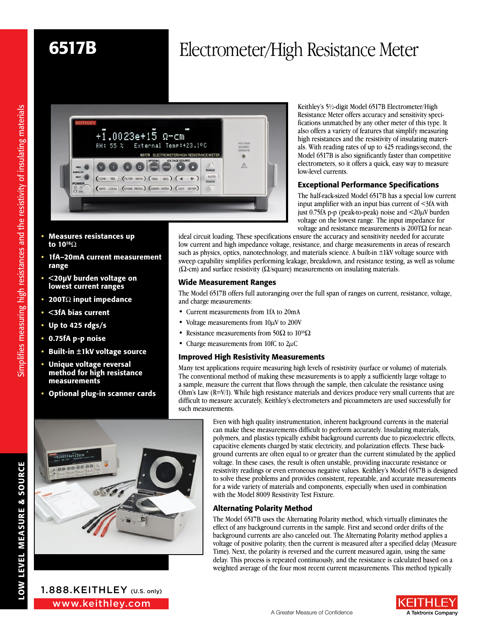# 6517B Electrometer/High Resistance Meter



- Measures resistances up to  $10^{16}\Omega$
- 1fA–20mA current measurement range
- <20µV burden voltage on lowest current ranges
- 200T $\Omega$  input impedance
- <3fA bias current
- Up to 425 rdgs/s
- 0.75fA p-p noise
- Built-in ±1kV voltage source
- Unique voltage reversal method for high resistance measurements
- Optional plug-in scanner cards

just 0.75fA p-p (peak-to-peak) noise and  $\langle 20 \mu V \rangle$  burden voltage on the lowest range. The input impedance for voltage and resistance measurements is  $200 \text{T} \Omega$  for nearideal circuit loading. These specifications ensure the accuracy and sensitivity needed for accurate low current and high impedance voltage, resistance, and charge measurements in areas of research such as physics, optics, nanotechnology, and materials science. A built-in  $\pm 1$ kV voltage source with sweep capability simplifies performing leakage, breakdown, and resistance testing, as well as volume ( $\Omega$ -cm) and surface resistivity ( $\Omega$ /square) measurements on insulating materials.

low-level currents.

Keithley's 5½-digit Model 6517B Electrometer/High Resistance Meter offers accuracy and sensitivity specifications unmatched by any other meter of this type. It also offers a variety of features that simplify measuring high resistances and the resistivity of insulating materials. With reading rates of up to 425 readings/second, the Model 6517B is also significantly faster than competitive electrometers, so it offers a quick, easy way to measure

Exceptional Performance Specifications The half-rack-sized Model 6517B has a special low current input amplifier with an input bias current of <3fA with

### Wide Measurement Ranges

The Model 6517B offers full autoranging over the full span of ranges on current, resistance, voltage, and charge measurements:

- Current measurements from 1fA to 20mA
- Voltage measurements from  $10 \mu$ V to 200V
- Resistance measurements from 50 $\Omega$  to 10<sup>16</sup> $\Omega$
- Charge measurements from 10fC to  $2\mu$ C

### Improved High Resistivity Measurements

Many test applications require measuring high levels of resistivity (surface or volume) of materials. The conventional method of making these measurements is to apply a sufficiently large voltage to a sample, measure the current that flows through the sample, then calculate the resistance using Ohm's Law (R=V/I). While high resistance materials and devices produce very small currents that are difficult to measure accurately, Keithley's electrometers and picoammeters are used successfully for such measurements.



1.888.KEITHLEY (U.S. only)

simplifies measuring high resistances and the resistivity of insulating materials Simplifies measuring high resistances and the resistivity of insulating materials

Even with high quality instrumentation, inherent background currents in the material can make these measurements difficult to perform accurately. Insulating materials, polymers, and plastics typically exhibit background currents due to piezoelectric effects, capacitive elements charged by static electricity, and polarization effects. These background currents are often equal to or greater than the current stimulated by the applied voltage. In these cases, the result is often unstable, providing inaccurate resistance or resistivity readings or even erroneous negative values. Keithley's Model 6517B is designed to solve these problems and provides consistent, repeatable, and accurate measurements for a wide variety of materials and components, especially when used in combination with the Model 8009 Resistivity Test Fixture.

# Alternating Polarity Method

The Model 6517B uses the Alternating Polarity method, which virtually eliminates the effect of any background currents in the sample. First and second order drifts of the background currents are also canceled out. The Alternating Polarity method applies a voltage of positive polarity, then the current is measured after a specified delay (Measure Time). Next, the polarity is reversed and the current measured again, using the same delay. This process is repeated continuously, and the resistance is calculated based on a weighted average of the four most recent current measurements. This method typically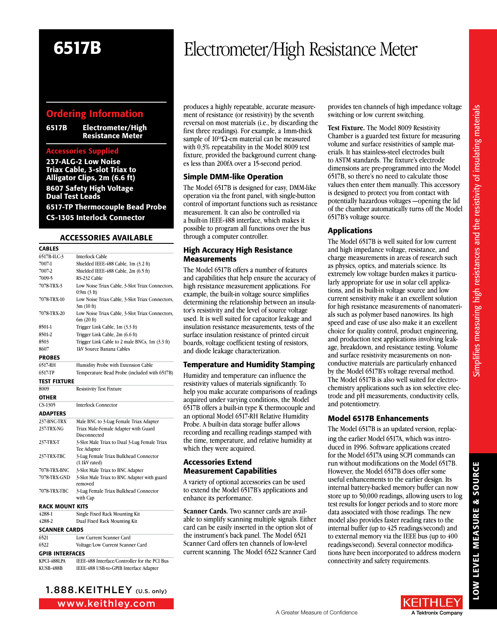LOW LEVEL MEASURE & SOURCE

LOW LEVEL MEASURE & SOURCE

# Ordering Information

6517B Electrometer/High Resistance Meter

#### Accessories Supplied

237-ALG-2 Low Noise Triax Cable, 3-slot Triax to Alligator Clips, 2m (6.6 ft) 8607 Safety High Voltage Dual Test Leads 6517-TP Thermocouple Bead Probe CS-1305 Interlock Connector

#### **ACCESSORIES AVAILABLE**

| <b>CABLES</b>          |                                                               |
|------------------------|---------------------------------------------------------------|
| 6517B-ILC-3            | <b>Interlock Cable</b>                                        |
| 7007-1                 | Shielded IEEE-488 Cable, 1m (3.2 ft)                          |
| 7007-2                 | Shielded IEEE-488 Cable, 2m (6.5 ft)                          |
| 7009-5                 | RS-232 Cable                                                  |
| 7078-TRX-3             | Low Noise Triax Cable, 3-Slot Triax Connectors,<br>0.9m(3 ft) |
| 7078-TRX-10            | Low Noise Triax Cable, 3-Slot Triax Connectors,<br>3m(10 ft)  |
| 7078 TRX-20            | Low Noise Triax Cable, 3-Slot Triax Connectors,<br>6m(20 ft)  |
| 8501-1                 | Trigger Link Cable, 1m (3.3 ft)                               |
| 8501-2                 | Trigger Link Cable, 2m (6.6 ft)                               |
| 8503                   | Trigger Link Cable to 2 male BNCs, 1m (3.3 ft)                |
| 8607                   | 1kV Source Banana Cables                                      |
| <b>PROBES</b>          |                                                               |
| 6517-RH                | Humidity Probe with Extension Cable                           |
| 6517-TP                | Temperature Bead Probe (included with 6517B)                  |
| TEST FIXTURE           |                                                               |
| 8009                   | <b>Resistivity Test Fixture</b>                               |
| OTHER                  |                                                               |
| CS-1305                | <b>Interlock Connector</b>                                    |
| <b>ADAPTERS</b>        |                                                               |
| 237-BNC-TRX            | Male BNC to 3-Lug Female Triax Adapter                        |
| 237-TRX-NG             | Triax Male-Female Adapter with Guard                          |
|                        | Disconnected                                                  |
| 237 TRX-T              | 3-Slot Male Triax to Dual 3-Lug Female Triax<br>Tee Adapter   |
| 237 TRX TBC            | 3-Lug Female Triax Bulkhead Connector<br>$(1.1kV \; rated)$   |
| 7078-TRX-BNC           | 3-Slot Male Triax to BNC Adapter                              |
| 7078-TRX-GND           | 3-Slot Male Triax to BNC Adapter with guard<br>removed        |
| 7078-TRX-TBC           | 3-Lug Female Triax Bulkhead Connector<br>with Cap             |
| RACK MOUNT KITS        |                                                               |
| 4288-1                 | Single Fixed Rack Mounting Kit                                |
| 4288-2                 | Dual Fixed Rack Mounting Kit                                  |
| <b>SCANNER CARDS</b>   |                                                               |
| 6521                   | Low Current Scanner Card                                      |
| 6522                   | Voltage/Low Current Scanner Card                              |
| <b>GPIB INTERFACES</b> |                                                               |
| KPCI-488LPA            | IEEE-488 Interface/Controller for the PCI Bus                 |

KUSB-488B IEEE-488 USB-to-GPIB Interface Adapter

www.keithley.com

# 6517B Electrometer/High Resistance Meter

produces a highly repeatable, accurate measurement of resistance (or resistivity) by the seventh reversal on most materials (i.e., by discarding the first three readings). For example, a 1mm-thick sample of  $10^{14}\Omega$ -cm material can be measured with 0.3% repeatability in the Model 8009 test fixture, provided the background current changes less than 200fA over a 15-second period.

## Simple DMM-like Operation

The Model 6517B is designed for easy, DMM-like operation via the front panel, with single-button control of important functions such as resistance measurement. It can also be controlled via a built-in IEEE-488 interface, which makes it possible to program all functions over the bus through a computer controller.

### High Accuracy High Resistance **Measurements**

The Model 6517B offers a number of features and capabilities that help ensure the accuracy of high resistance measurement applications. For example, the built-in voltage source simplifies determining the relationship between an insulator's resistivity and the level of source voltage used. It is well suited for capacitor leakage and insulation resistance measurements, tests of the surface insulation resistance of printed circuit boards, voltage coefficient testing of resistors, and diode leakage characterization.

# Temperature and Humidity Stamping

Humidity and temperature can influence the resistivity values of materials significantly. To help you make accurate comparisons of readings acquired under varying conditions, the Model 6517B offers a built-in type K thermocouple and an optional Model 6517-RH Relative Humidity Probe. A built-in data storage buffer allows recording and recalling readings stamped with the time, temperature, and relative humidity at which they were acquired.

### Accessories Extend Measurement Capabilities

A variety of optional accessories can be used to extend the Model 6517B's applications and enhance its performance.

**Scanner Cards.** Two scanner cards are available to simplify scanning multiple signals. Either card can be easily inserted in the option slot of the instrument's back panel. The Model 6521 Scanner Card offers ten channels of low-level current scanning. The Model 6522 Scanner Card

provides ten channels of high impedance voltage switching or low current switching.

**Test Fixture.** The Model 8009 Resistivity Chamber is a guarded test fixture for measuring volume and surface resistivities of sample materials. It has stainless-steel electrodes built to ASTM standards. The fixture's electrode dimensions are pre-programmed into the Model 6517B, so there's no need to calculate those values then enter them manually. This accessory is designed to protect you from contact with potentially hazardous voltages —opening the lid of the chamber automatically turns off the Model 6517B's voltage source.

# Applications

The Model 6517B is well suited for low current and high impedance voltage, resistance, and charge measurements in areas of research such as physics, optics, and materials science. Its extremely low voltage burden makes it particularly appropriate for use in solar cell applications, and its built-in voltage source and low current sensitivity make it an excellent solution for high resistance measurements of nanomaterials such as polymer based nanowires. Its high speed and ease of use also make it an excellent choice for quality control, product engineering, and production test applications involving leakage, breakdown, and resistance testing. Volume and surface resistivity measurements on nonconductive materials are particularly enhanced by the Model 6517B's voltage reversal method. The Model 6517B is also well suited for electrochemistry applications such as ion selective electrode and pH measurements, conductivity cells, and potentiometry.

# Model 6517B Enhancements

The Model 6517B is an updated version, replacing the earlier Model 6517A, which was introduced in 1996. Software applications created for the Model 6517A using SCPI commands can run without modifications on the Model 6517B. However, the Model 6517B does offer some useful enhancements to the earlier design. Its internal battery-backed memory buffer can now store up to 50,000 readings, allowing users to log test results for longer periods and to store more data associated with those readings. The new model also provides faster reading rates to the internal buffer (up to 425 readings/second) and to external memory via the IEEE bus (up to 400 readings/second). Several connector modifications have been incorporated to address modern connectivity and safety requirements.

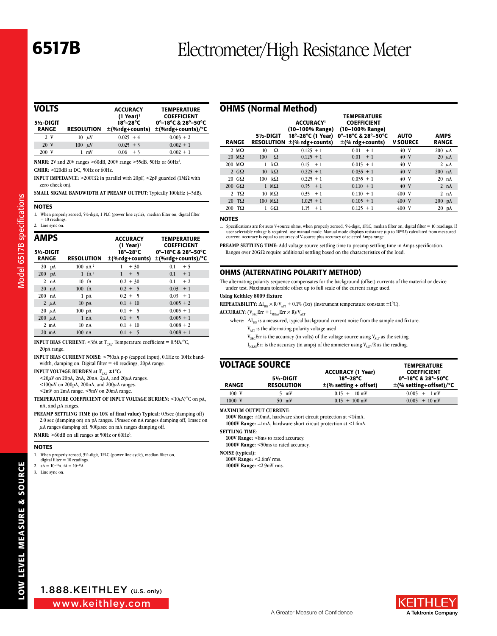# **6517B** Electrometer/High Resistance Meter

| VOLTS                      |                   | <b>ACCURACY</b>                                    | <b>TEMPERATURE</b><br><b>COEFFICIENT</b>                         |
|----------------------------|-------------------|----------------------------------------------------|------------------------------------------------------------------|
| 51/2-DIGIT<br><b>RANGE</b> | <b>RESOLUTION</b> | $(1$ Year) <sup>1</sup><br>$18^\circ - 28^\circ$ C | 0°-18°C & 28°-50°C<br>$\pm$ (%rdg+counts) $\pm$ (%rdg+counts)/°C |
| 2 V                        | $10 \mu$ V        | $0.025 + 4$                                        | $0.003 + 2$                                                      |
| 20 V                       | $100 \mu V$       | $0.025 + 3$                                        | $0.002 + 1$                                                      |
| 200 V                      | $1 \text{ mV}$    | $0.06 + 3$                                         | $0.002 + 1$                                                      |

**NMRR:** 2V and 20V ranges >60dB, 200V range >55dB. 50Hz or 60Hz2. **CMRR:** >120dB at DC, 50Hz or 60Hz.

**INPUT IMPEDANCE:**  $>200$ T $\Omega$  in parallel with 20pF,  $<$ 2pF guarded (1M $\Omega$  with zero check on).

**SMALL SIGNAL BANDWIDTH AT PREAMP OUTPUT:** Typically 100kHz (–3dB).

#### **NOTES**

**Model 6517B specifications** Model 6517B specifications

1. When properly zeroed, 5½-digit, 1 PLC (power line cycle), median filter on, digital filter  $= 10$  readings. 2. Line sync on.

| AMPS<br>5½-DIGIT<br><b>RANGE</b> |                 | <b>RESOLUTION</b> |                  | <b>ACCURACY</b><br>$(1$ Year) <sup>1</sup><br>$18^{\circ}-28^{\circ}$ C | <b>TEMPERATURE</b><br><b>COEFFICIENT</b><br>$0^{\circ}-18^{\circ}$ C & 28 $^{\circ}-50^{\circ}$ C<br>$\pm$ (%rdg+counts)/°C |
|----------------------------------|-----------------|-------------------|------------------|-------------------------------------------------------------------------|-----------------------------------------------------------------------------------------------------------------------------|
|                                  |                 |                   |                  | ±(%rdg+counts)                                                          |                                                                                                                             |
|                                  | $20$ pA         |                   | 100 $aA^2$       | 1<br>$+30$                                                              | 0.1<br>$+5$                                                                                                                 |
| $200$ pA                         |                 |                   | $1 \text{ fA}^2$ | $\mathbf{1}$<br>$+ 5$                                                   | $0.1 + 1$                                                                                                                   |
|                                  | 2 nA            |                   | 10 <sub>fA</sub> | $0.2 + 30$                                                              | 0.1<br>$+2$                                                                                                                 |
|                                  | $20$ nA         | 100 fA            |                  | $0.2 + 5$                                                               | $0.03 + 1$                                                                                                                  |
| $200$ nA                         |                 |                   | $1$ pA           | $0.2 + 5$                                                               | $0.03 + 1$                                                                                                                  |
|                                  | 2 $\mu$ A       |                   | $10 \text{ pA}$  | $0.1 + 10$                                                              | $0.005 + 2$                                                                                                                 |
|                                  | $20 \mu A$      | $100 \text{ pA}$  |                  | $0.1 + 5$                                                               | $0.005 + 1$                                                                                                                 |
| $200 \mu A$                      |                 |                   | 1 nA             | $0.1 + 5$                                                               | $0.005 + 1$                                                                                                                 |
|                                  | $2 \text{ mA}$  |                   | 10 <sub>nA</sub> | $0.1 + 10$                                                              | $0.008 + 2$                                                                                                                 |
|                                  | $20 \text{ mA}$ | $100$ nA          |                  | $0.1 + 5$                                                               | $0.008 + 1$                                                                                                                 |
|                                  |                 |                   |                  |                                                                         |                                                                                                                             |

**INPUT BIAS CURRENT:** <3fA at  $T_{CAL}$ . Temperature coefficient = 0.5fA/°C, 20pA range.

**INPUT BIAS CURRENT NOISE:** <750aA p-p (capped input), 0.1Hz to 10Hz bandwidth, damping on. Digital filter = 40 readings, 20pA range.

**INPUT VOLTAGE BURDEN at T<sub>CAL</sub> ±1°C:** 

 $<$ 20 $\mu$ V on 20pA, 2nA, 20nA, 2 $\mu$ A, and 20 $\mu$ A ranges.

 $\langle 100 \mu V \rangle$  on 200pA, 200nA, and 200 $\mu$ A ranges.

<2mV on 2mA range. <5mV on 20mA range.

**TEMPERATURE COEFFICIENT OF INPUT VOLTAGE BURDEN:** <10µV/°C on pA, nA, and  $\mu$ A ranges.

**PREAMP SETTLING TIME (to 10% of final value) Typical:** 0.5sec (damping off) 2.0 sec (damping on) on pA ranges. 15msec on nA ranges damping off, 1msec on  $\mu$  anges damping off. 500 $\mu$ sec on mA ranges damping off.

NMRR: >60dB on all ranges at 50Hz or 60Hz<sup>3</sup>.

#### **NOTES**

1. When properly zeroed, 5½-digit, 1PLC (power line cycle), median filter on, digital filter = 10 readings.

2.  $aA = 10^{-18}A$ ,  $fA = 10^{-15}A$ .

3. Line sync on.

|                           | <b>OHMS (Normal Method)</b>   |                                                                                 |                                                                                                           |                                |                             |
|---------------------------|-------------------------------|---------------------------------------------------------------------------------|-----------------------------------------------------------------------------------------------------------|--------------------------------|-----------------------------|
| <b>RANGE</b>              | 5½-DIGIT<br><b>RESOLUTION</b> | <b>ACCURACY</b><br>(10-100% Range)<br>18°-28°C (1 Year)<br>$\pm$ (% rdg+counts) | <b>TEMPERATURE</b><br><b>COEFFICIENT</b><br>(10-100% Range)<br>0°-18°C & 28°-50°C<br>$\pm$ (% rdg+counts) | <b>AUTO</b><br><b>V SOURCE</b> | <b>AMPS</b><br><b>RANGE</b> |
| 2 $M\Omega$               | Ω<br>10                       | $0.125 + 1$                                                                     | 0.01<br>$+1$                                                                                              | 40 V                           | $200 \mu A$                 |
| $20 \text{ M}\Omega$      | Ω<br>100                      | $0.125 + 1$                                                                     | 0.01<br>$+1$                                                                                              | 40 V                           | $20 \mu A$                  |
| $200 \text{ M}\Omega$     | $k\Omega$<br>1                | $0.15 + 1$                                                                      | $0.015 + 1$                                                                                               | 40 V                           | $2 \mu A$                   |
| 2 $G\Omega$               | $k\Omega$<br>10 <sup>10</sup> | $0.225 + 1$                                                                     | $0.035 + 1$                                                                                               | 40 V                           | $200$ nA                    |
| $20 \text{ } G\Omega$     | kΩ<br>100                     | $0.225 + 1$                                                                     | $0.035 + 1$                                                                                               | 40 V                           | $20$ nA                     |
| $200 \text{ }$ G $\Omega$ | $1 \text{ M}\Omega$           | $0.35 + 1$                                                                      | $0.110 + 1$                                                                                               | 40 V                           | 2 nA                        |
| 2 T $\Omega$              | $10 \text{ M}\Omega$          | $0.35 + 1$                                                                      | $0.110 + 1$                                                                                               | 400 V                          | 2 nA                        |
| $20$ TQ                   | $100 \text{ M}\Omega$         | $1.025 + 1$                                                                     | $0.105 + 1$                                                                                               | 400 V                          | $200$ pA                    |
| ТΩ<br>200                 | $1 \, \text{G}\Omega$         | 1.15<br>$+1$                                                                    | $0.125 + 1$                                                                                               | 400 V                          | $20$ pA                     |

#### **NOTES**

1. Specifications are for auto V-source ohms, when properly zeroed, 5½-digit, 1PLC, median filter on, digital filter = 10 readings. If user selectable voltage is required, use manual mode. Manual mode displays resistance (up to  $10^{18}\Omega$ ) calculated from measured current. Accuracy is equal to accuracy of V-source plus accuracy of selected Amps range.

**PREAMP SETTLING TIME:** Add voltage source settling time to preamp settling time in Amps specification. Ranges over 20G $\Omega$  require additional settling based on the characteristics of the load.

#### OHMS (ALTERNATING POLARITY METHOD)

The alternating polarity sequence compensates for the background (offset) currents of the material or device under test. Maximum tolerable offset up to full scale of the current range used.

#### **Using Keithley 8009 fixture**

**REPEATABILITY:**  $\Delta I_{BG} \times R/V_{ALT} + 0.1\%$  (1 $\sigma$ ) (instrument temperature constant  $\pm 1^{\circ}$ C).

**ACCURACY:**  $(V_{SRC}Err + I_{MEAS}Err \times R)/V_{ALT}$ 

where:  $\Delta I_{BC}$  is a measured, typical background current noise from the sample and fixture. VALT is the alternating polarity voltage used.

 $V_{SRC}$ Err is the accuracy (in volts) of the voltage source using  $V_{ALT}$  as the setting.

 $I_{MERS}$ Err is the accuracy (in amps) of the ammeter using  $V_{AIT}$ /R as the reading.

# **VOLTAGE SOURCE** TEMPERATURE

| <b>RANGE</b> | 51/2-DIGIT<br><b>RESOLUTION</b> | $18^{\circ}-28^{\circ}$ C<br>$\pm$ (% setting + offset) | 0°-18°C & 28°-50°C<br>$\pm$ (% setting+offset)/°C |
|--------------|---------------------------------|---------------------------------------------------------|---------------------------------------------------|
| 100 V        | 5 mV                            | $0.15 + 10$ mV                                          | $0.005 + 1$ mV                                    |
| 1000 V       | $50 \text{ mV}$                 | $0.15 + 100$ mV                                         | $0.005 + 10$ mV                                   |

**MAXIMUM OUTPUT CURRENT:**

**100V Range:** ±10mA, hardware short circuit protection at <14mA. **1000V Range:** ±1mA, hardware short circuit protection at <1.4mA.

**SETTLING TIME**:

100V Range: <8ms to rated accuracy. **1000V Range:** <50ms to rated accuracy.

**NOISE (typical):**

**100V Range:** <2.6mV rms. **1000V Range:** <2.9mV rms.

LOW LEVEL MEASURE & SOURCE LOW LEVEL MEASURE & SOURCE

www.keithley.com